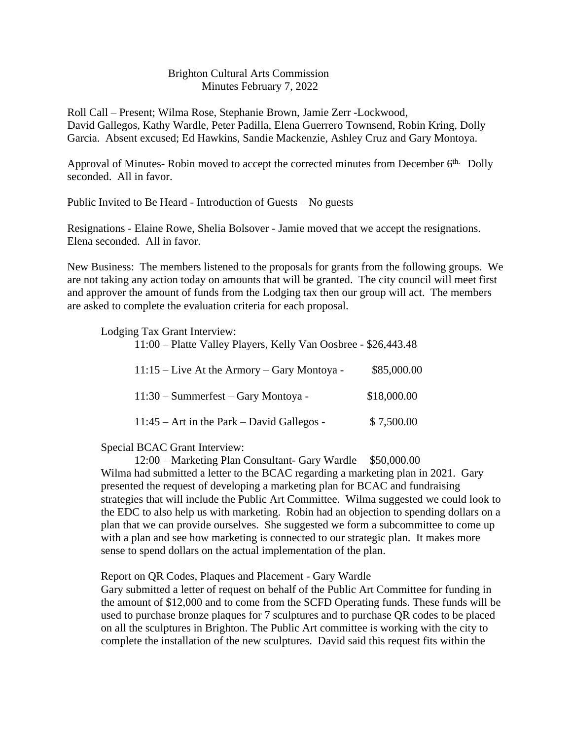## Brighton Cultural Arts Commission Minutes February 7, 2022

Roll Call – Present; Wilma Rose, Stephanie Brown, Jamie Zerr -Lockwood, David Gallegos, Kathy Wardle, Peter Padilla, Elena Guerrero Townsend, Robin Kring, Dolly Garcia. Absent excused; Ed Hawkins, Sandie Mackenzie, Ashley Cruz and Gary Montoya.

Approval of Minutes- Robin moved to accept the corrected minutes from December 6<sup>th.</sup> Dolly seconded. All in favor.

Public Invited to Be Heard - Introduction of Guests – No guests

Resignations - Elaine Rowe, Shelia Bolsover - Jamie moved that we accept the resignations. Elena seconded. All in favor.

New Business: The members listened to the proposals for grants from the following groups. We are not taking any action today on amounts that will be granted. The city council will meet first and approver the amount of funds from the Lodging tax then our group will act. The members are asked to complete the evaluation criteria for each proposal.

Lodging Tax Grant Interview:

| 11:00 – Platte Valley Players, Kelly Van Oosbree - \$26,443.48 |             |
|----------------------------------------------------------------|-------------|
| 11:15 – Live At the Armory – Gary Montoya -                    | \$85,000.00 |
| 11:30 – Summerfest – Gary Montoya -                            | \$18,000.00 |
| 11:45 – Art in the Park – David Gallegos -                     | \$7,500.00  |

Special BCAC Grant Interview:

12:00 – Marketing Plan Consultant- Gary Wardle \$50,000.00 Wilma had submitted a letter to the BCAC regarding a marketing plan in 2021. Gary presented the request of developing a marketing plan for BCAC and fundraising strategies that will include the Public Art Committee. Wilma suggested we could look to the EDC to also help us with marketing. Robin had an objection to spending dollars on a plan that we can provide ourselves. She suggested we form a subcommittee to come up with a plan and see how marketing is connected to our strategic plan. It makes more sense to spend dollars on the actual implementation of the plan.

Report on QR Codes, Plaques and Placement - Gary Wardle Gary submitted a letter of request on behalf of the Public Art Committee for funding in the amount of \$12,000 and to come from the SCFD Operating funds. These funds will be used to purchase bronze plaques for 7 sculptures and to purchase QR codes to be placed on all the sculptures in Brighton. The Public Art committee is working with the city to complete the installation of the new sculptures. David said this request fits within the